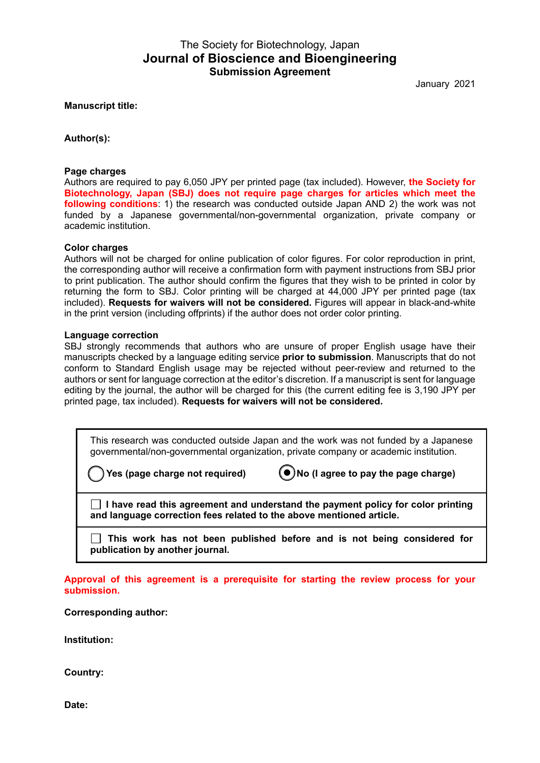# The Society for Biotechnology, Japan **Journal of Bioscience and Bioengineering Submission Agreement**

January 2021

**Manuscript title:**

**Author(s):**

#### **Page charges**

Authors are required to pay 6,050 JPY per printed page (tax included). However, **the Society for Biotechnology, Japan (SBJ) does not require page charges for articles which meet the following conditions**: 1) the research was conducted outside Japan AND 2) the work was not funded by a Japanese governmental/non-governmental organization, private company or academic institution.

#### **Color charges**

Authors will not be charged for online publication of color figures. For color reproduction in print, the corresponding author will receive a confirmation form with payment instructions from SBJ prior to print publication. The author should confirm the figures that they wish to be printed in color by returning the form to SBJ. Color printing will be charged at 44,000 JPY per printed page (tax included). **Requests for waivers will not be considered.** Figures will appear in black-and-white in the print version (including offprints) if the author does not order color printing.

#### **Language correction**

SBJ strongly recommends that authors who are unsure of proper English usage have their manuscripts checked by a language editing service **prior to submission**. Manuscripts that do not conform to Standard English usage may be rejected without peer-review and returned to the authors or sent for language correction at the editor's discretion. If a manuscript is sent for language editing by the journal, the author will be charged for this (the current editing fee is 3,190 JPY per printed page, tax included). **Requests for waivers will not be considered.**

This research was conducted outside Japan and the work was not funded by a Japanese governmental/non-governmental organization, private company or academic institution.

**Yes (page charge not required) No (I agree to pay the page charge)**

**I have read this agreement and understand the payment policy for color printing and language correction fees related to the above mentioned article.**

**This work has not been published before and is not being considered for publication by another journal.**

**Approval of this agreement is a prerequisite for starting the review process for your submission.** 

## **Corresponding author:**

**Institution:**

**Country:**

**Date:**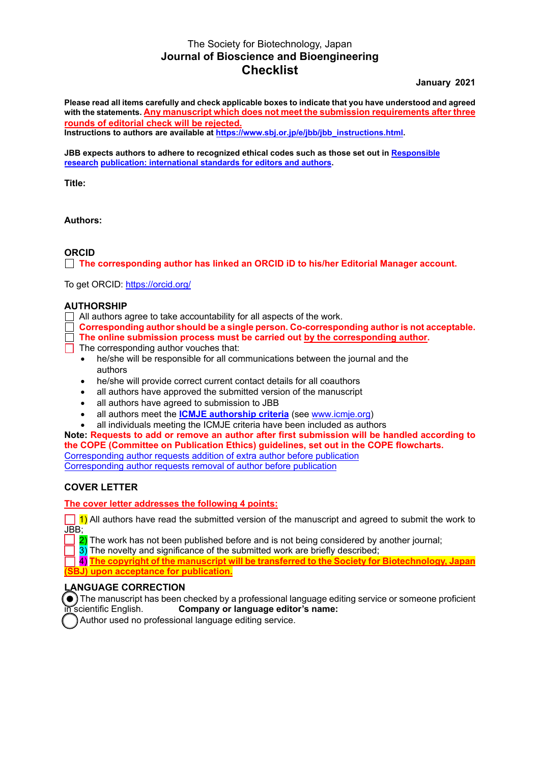# The Society for Biotechnology, Japan **Journal of Bioscience and Bioengineering Checklist**

**January 2021** 

**Please read all items carefully and check applicable boxes to indicate that you have understood and agreed with the statements. Any manuscript which does not meet the submission requirements after three rounds of editorial check will be rejected.**

**Instructions to authors are available at https://www.sbj.or.jp/e/jbb/jbb\_instructions.html.** 

**JBB expects authors to adhere [to recognized ethical codes such as those set out in](https://publicationethics.org/resources/resources-and-further-reading/international-standards-editors-and-authors) Responsible research publication: international standards for editors and authors.** 

**Title:** 

**Authors:**

## **ORCID**

**The corresponding author has linked an ORCID iD to his/her Editorial Manager account.**

To get ORCID: https://orcid.org/

# **AUTHORSHIP**

- $\Box$  All authors agree to take accountability for all aspects of the work.
- **Corresponding author should be a single person. Co-corresponding author is not acceptable.**
- **The online submission process must be carried out by the corresponding author.**
- $\Box$  The corresponding author vouches that:
	- he/she will be responsible for all communications between the journal and the authors
	- he/she will provide correct current contact details for all coauthors
	- all authors have approved the submitted version of the manuscript
	- all authors have agreed to submission to JBB
	- all authors meet the **[ICMJE authorship criteria](http://www.icmje.org/recommendations/browse/roles-and-responsibilities/defining-the-role-of-authors-and-contributors.html)** (see [www.icmje.org\)](www.icmje.org)
	- all individuals meeting the ICMJE criteria have been included as authors

**Note: Requests to add or remove an author after first submission will be handled according to the COPE (Committee on Publication Ethics) guidelines, set out in the COPE flowcharts.** Corresponding author [requests addition of extra author before publication](https://doi.org/10.24318/cope.2019.2.8) Corresponding author [requests removal of author before publication](https://doi.org/10.24318/cope.2019.2.9)

## **COVER LETTER**

**The cover letter addresses the following 4 points:** 

 $\Box$  1) All authors have read the submitted version of the manuscript and agreed to submit the work to JBB;

2) The work has not been published before and is not being considered by another journal;

3) The novelty and significance of the submitted work are briefly described;

4) **The copyright of the manuscript will be transferred to the Society for Biotechnology, Japan (SBJ) upon acceptance for publication.**

## **LANGUAGE CORRECTION**

 $\bigodot$  The manuscript has been checked by a professional language editing service or someone proficient in scientific English. Company or language editor's name:

Author used no professional language editing service.